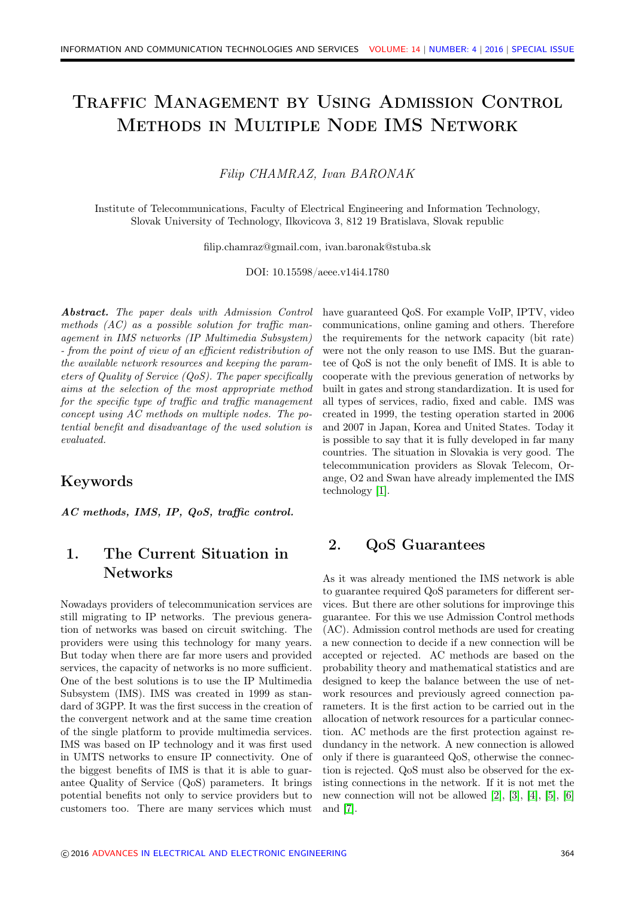# Traffic Management by Using Admission Control Methods in Multiple Node IMS Network

#### Filip CHAMRAZ, Ivan BARONAK

Institute of Telecommunications, Faculty of Electrical Engineering and Information Technology, Slovak University of Technology, Ilkovicova 3, 812 19 Bratislava, Slovak republic

filip.chamraz@gmail.com, ivan.baronak@stuba.sk

DOI: 10.15598/aeee.v14i4.1780

Abstract. The paper deals with Admission Control methods (AC) as a possible solution for traffic management in IMS networks (IP Multimedia Subsystem) - from the point of view of an efficient redistribution of the available network resources and keeping the parameters of Quality of Service (QoS). The paper specifically aims at the selection of the most appropriate method for the specific type of traffic and traffic management concept using AC methods on multiple nodes. The potential benefit and disadvantage of the used solution is evaluated.

## Keywords

AC methods, IMS, IP, QoS, traffic control.

# 1. The Current Situation in Networks

Nowadays providers of telecommunication services are still migrating to IP networks. The previous generation of networks was based on circuit switching. The providers were using this technology for many years. But today when there are far more users and provided services, the capacity of networks is no more sufficient. One of the best solutions is to use the IP Multimedia Subsystem (IMS). IMS was created in 1999 as standard of 3GPP. It was the first success in the creation of the convergent network and at the same time creation of the single platform to provide multimedia services. IMS was based on IP technology and it was first used in UMTS networks to ensure IP connectivity. One of the biggest benefits of IMS is that it is able to guarantee Quality of Service (QoS) parameters. It brings potential benefits not only to service providers but to customers too. There are many services which must

have guaranteed QoS. For example VoIP, IPTV, video communications, online gaming and others. Therefore the requirements for the network capacity (bit rate) were not the only reason to use IMS. But the guarantee of QoS is not the only benefit of IMS. It is able to cooperate with the previous generation of networks by built in gates and strong standardization. It is used for all types of services, radio, fixed and cable. IMS was created in 1999, the testing operation started in 2006 and 2007 in Japan, Korea and United States. Today it is possible to say that it is fully developed in far many countries. The situation in Slovakia is very good. The telecommunication providers as Slovak Telecom, Orange, O2 and Swan have already implemented the IMS technology [\[1\]](#page-6-0).

## 2. QoS Guarantees

As it was already mentioned the IMS network is able to guarantee required QoS parameters for different services. But there are other solutions for improvinge this guarantee. For this we use Admission Control methods (AC). Admission control methods are used for creating a new connection to decide if a new connection will be accepted or rejected. AC methods are based on the probability theory and mathematical statistics and are designed to keep the balance between the use of network resources and previously agreed connection parameters. It is the first action to be carried out in the allocation of network resources for a particular connection. AC methods are the first protection against redundancy in the network. A new connection is allowed only if there is guaranteed QoS, otherwise the connection is rejected. QoS must also be observed for the existing connections in the network. If it is not met the new connection will not be allowed [\[2\]](#page-6-1), [\[3\]](#page-6-2), [\[4\]](#page-6-3), [\[5\]](#page-6-4), [\[6\]](#page-6-5) and [\[7\]](#page-6-6).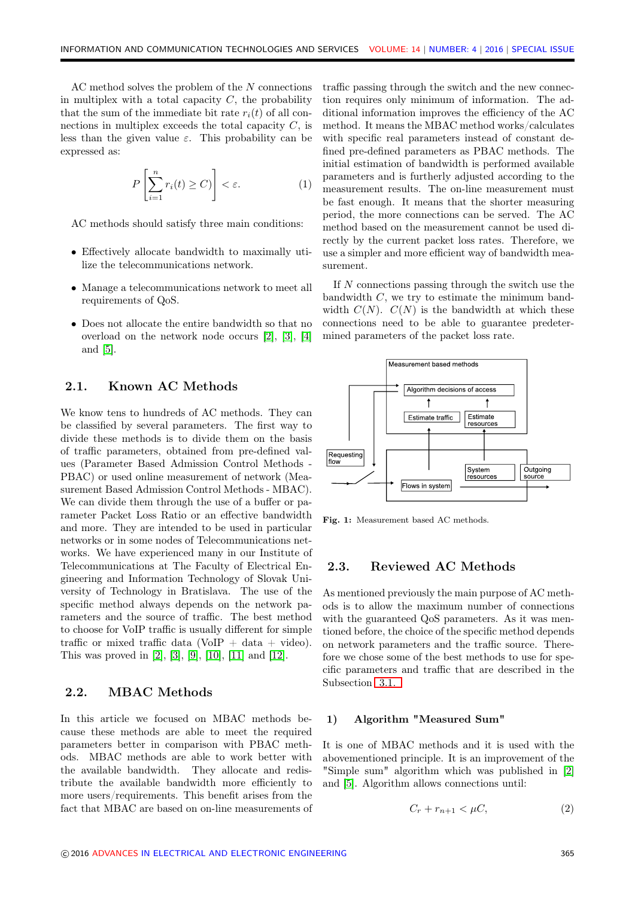AC method solves the problem of the N connections in multiplex with a total capacity  $C$ , the probability that the sum of the immediate bit rate  $r_i(t)$  of all connections in multiplex exceeds the total capacity  $C$ , is less than the given value  $\varepsilon$ . This probability can be expressed as:

$$
P\left[\sum_{i=1}^{n} r_i(t) \ge C\right] < \varepsilon. \tag{1}
$$

AC methods should satisfy three main conditions:

- Effectively allocate bandwidth to maximally utilize the telecommunications network.
- Manage a telecommunications network to meet all requirements of QoS.
- Does not allocate the entire bandwidth so that no overload on the network node occurs [\[2\]](#page-6-1), [\[3\]](#page-6-2), [\[4\]](#page-6-3) and [\[5\]](#page-6-4).

#### 2.1. Known AC Methods

We know tens to hundreds of AC methods. They can be classified by several parameters. The first way to divide these methods is to divide them on the basis of traffic parameters, obtained from pre-defined values (Parameter Based Admission Control Methods - PBAC) or used online measurement of network (Measurement Based Admission Control Methods - MBAC). We can divide them through the use of a buffer or parameter Packet Loss Ratio or an effective bandwidth and more. They are intended to be used in particular networks or in some nodes of Telecommunications networks. We have experienced many in our Institute of Telecommunications at The Faculty of Electrical Engineering and Information Technology of Slovak University of Technology in Bratislava. The use of the specific method always depends on the network parameters and the source of traffic. The best method to choose for VoIP traffic is usually different for simple traffic or mixed traffic data (VoIP + data + video). This was proved in [\[2\]](#page-6-1), [\[3\]](#page-6-2), [\[9\]](#page-6-7), [\[10\]](#page-6-8), [\[11\]](#page-6-9) and [\[12\]](#page-6-10).

#### 2.2. MBAC Methods

In this article we focused on MBAC methods because these methods are able to meet the required parameters better in comparison with PBAC methods. MBAC methods are able to work better with the available bandwidth. They allocate and redistribute the available bandwidth more efficiently to more users/requirements. This benefit arises from the fact that MBAC are based on on-line measurements of traffic passing through the switch and the new connection requires only minimum of information. The additional information improves the efficiency of the AC method. It means the MBAC method works/calculates with specific real parameters instead of constant defined pre-defined parameters as PBAC methods. The initial estimation of bandwidth is performed available parameters and is furtherly adjusted according to the measurement results. The on-line measurement must be fast enough. It means that the shorter measuring period, the more connections can be served. The AC method based on the measurement cannot be used directly by the current packet loss rates. Therefore, we use a simpler and more efficient way of bandwidth measurement.

If N connections passing through the switch use the bandwidth  $C$ , we try to estimate the minimum bandwidth  $C(N)$ .  $C(N)$  is the bandwidth at which these connections need to be able to guarantee predetermined parameters of the packet loss rate.



Fig. 1: Measurement based AC methods.

#### 2.3. Reviewed AC Methods

As mentioned previously the main purpose of AC methods is to allow the maximum number of connections with the guaranteed QoS parameters. As it was mentioned before, the choice of the specific method depends on network parameters and the traffic source. Therefore we chose some of the best methods to use for specific parameters and traffic that are described in the Subsection [3.1.](#page-2-0)

#### 1) Algorithm "Measured Sum"

It is one of MBAC methods and it is used with the abovementioned principle. It is an improvement of the "Simple sum" algorithm which was published in [\[2\]](#page-6-1) and [\[5\]](#page-6-4). Algorithm allows connections until:

$$
C_r + r_{n+1} < \mu C,\tag{2}
$$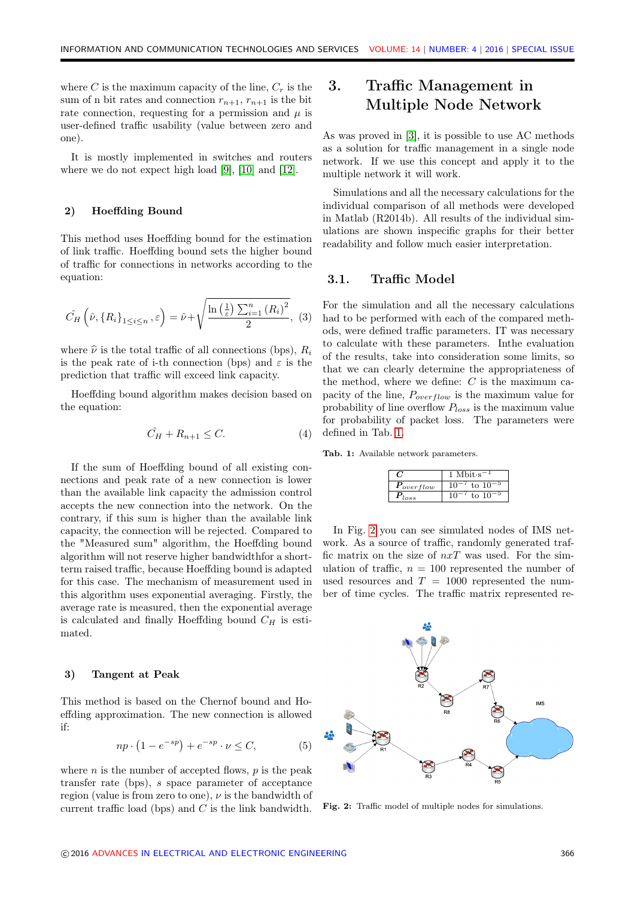where C is the maximum capacity of the line,  $C_r$  is the sum of n bit rates and connection  $r_{n+1}$ ,  $r_{n+1}$  is the bit rate connection, requesting for a permission and  $\mu$  is user-defined traffic usability (value between zero and one).

It is mostly implemented in switches and routers where we do not expect high load [\[9\]](#page-6-7), [\[10\]](#page-6-8) and [\[12\]](#page-6-10).

#### 2) Hoeffding Bound

This method uses Hoeffding bound for the estimation of link traffic. Hoeffding bound sets the higher bound of traffic for connections in networks according to the equation:

$$
\hat{C}_H\left(\hat{\nu}, \{R_i\}_{1 \le i \le n}, \varepsilon\right) = \hat{\nu} + \sqrt{\frac{\ln\left(\frac{1}{\varepsilon}\right) \sum_{i=1}^n \left(R_i\right)^2}{2}}, \tag{3}
$$

where  $\hat{\nu}$  is the total traffic of all connections (bps),  $R_i$ is the peak rate of i-th connection (bps) and  $\varepsilon$  is the prediction that traffic will exceed link capacity.

Hoeffding bound algorithm makes decision based on the equation:

$$
\hat{C}_H + R_{n+1} \le C. \tag{4}
$$

If the sum of Hoeffding bound of all existing connections and peak rate of a new connection is lower than the available link capacity the admission control accepts the new connection into the network. On the contrary, if this sum is higher than the available link capacity, the connection will be rejected. Compared to the "Measured sum" algorithm, the Hoeffding bound algorithm will not reserve higher bandwidthfor a shortterm raised traffic, because Hoeffding bound is adapted for this case. The mechanism of measurement used in this algorithm uses exponential averaging. Firstly, the average rate is measured, then the exponential average is calculated and finally Hoeffding bound  $C_H$  is estimated.

#### 3) Tangent at Peak

This method is based on the Chernof bound and Hoeffding approximation. The new connection is allowed if:

$$
np \cdot (1 - e^{-sp}) + e^{-sp} \cdot \nu \le C,\tag{5}
$$

where  $n$  is the number of accepted flows,  $p$  is the peak transfer rate (bps), s space parameter of acceptance region (value is from zero to one),  $\nu$  is the bandwidth of current traffic load (bps) and  $C$  is the link bandwidth.

# 3. Traffic Management in Multiple Node Network

As was proved in [\[3\]](#page-6-2), it is possible to use AC methods as a solution for traffic management in a single node network. If we use this concept and apply it to the multiple network it will work.

Simulations and all the necessary calculations for the individual comparison of all methods were developed in Matlab (R2014b). All results of the individual simulations are shown inspecific graphs for their better readability and follow much easier interpretation.

#### <span id="page-2-0"></span>3.1. Traffic Model

For the simulation and all the necessary calculations had to be performed with each of the compared methods, were defined traffic parameters. IT was necessary to calculate with these parameters. Inthe evaluation of the results, take into consideration some limits, so that we can clearly determine the appropriateness of the method, where we define:  $C$  is the maximum capacity of the line,  $P_{overflow}$  is the maximum value for probability of line overflow  $P_{loss}$  is the maximum value for probability of packet loss. The parameters were defined in Tab. [1.](#page-2-1)

<span id="page-2-1"></span>Tab. 1: Available network parameters.

|                             | oīt∙s |  |  |
|-----------------------------|-------|--|--|
| $\boldsymbol{r}_{overflow}$ | tο    |  |  |
| loss                        | ŧΩ    |  |  |

In Fig. [2](#page-2-2) you can see simulated nodes of IMS network. As a source of traffic, randomly generated traffic matrix on the size of  $nxT$  was used. For the simulation of traffic,  $n = 100$  represented the number of used resources and  $T = 1000$  represented the number of time cycles. The traffic matrix represented re-

<span id="page-2-2"></span>

Fig. 2: Traffic model of multiple nodes for simulations.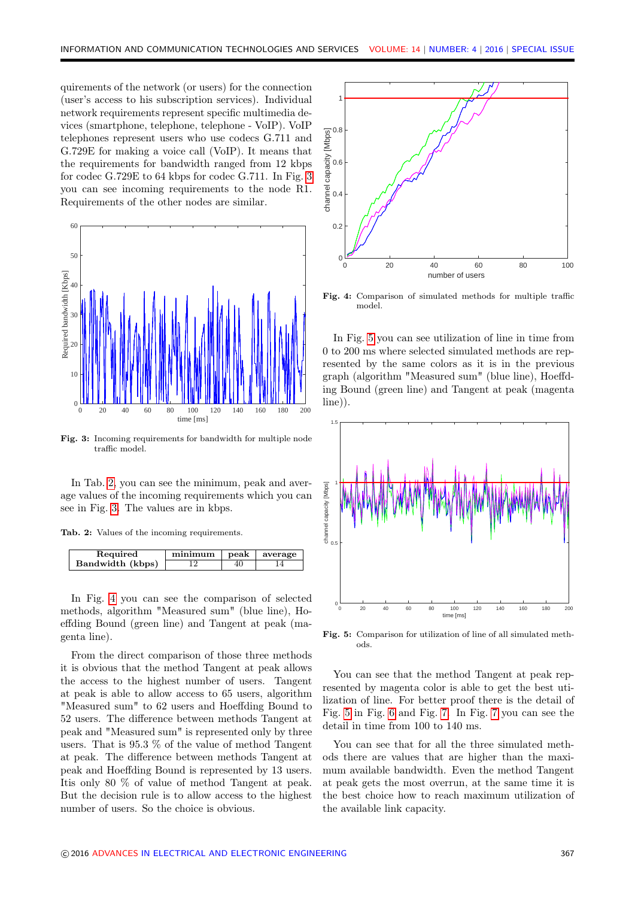quirements of the network (or users) for the connection (user's access to his subscription services). Individual network requirements represent specific multimedia devices (smartphone, telephone, telephone - VoIP). VoIP telephones represent users who use codecs G.711 and G.729E for making a voice call (VoIP). It means that the requirements for bandwidth ranged from 12 kbps for codec G.729E to 64 kbps for codec G.711. In Fig. [3](#page-3-0) you can see incoming requirements to the node R1. Requirements of the other nodes are similar.

<span id="page-3-0"></span>

Fig. 3: Incoming requirements for bandwidth for multiple node traffic model.

In Tab. [2,](#page-3-1) you can see the minimum, peak and average values of the incoming requirements which you can see in Fig. [3.](#page-3-0) The values are in kbps.

<span id="page-3-1"></span>

|  |  |  |  |  |  |  | Tab. 2: Values of the incoming requirements. |
|--|--|--|--|--|--|--|----------------------------------------------|
|--|--|--|--|--|--|--|----------------------------------------------|

| Required         | minimum | peak | average |
|------------------|---------|------|---------|
| Bandwidth (kbps) |         | 40   |         |

In Fig. [4](#page-3-2) you can see the comparison of selected methods, algorithm "Measured sum" (blue line), Hoeffding Bound (green line) and Tangent at peak (magenta line).

From the direct comparison of those three methods it is obvious that the method Tangent at peak allows the access to the highest number of users. Tangent at peak is able to allow access to 65 users, algorithm "Measured sum" to 62 users and Hoeffding Bound to 52 users. The difference between methods Tangent at peak and "Measured sum" is represented only by three users. That is 95.3 % of the value of method Tangent at peak. The difference between methods Tangent at peak and Hoeffding Bound is represented by 13 users. Itis only 80 % of value of method Tangent at peak. But the decision rule is to allow access to the highest number of users. So the choice is obvious.

<span id="page-3-2"></span>

Fig. 4: Comparison of simulated methods for multiple traffic model.

In Fig. [5](#page-3-3) you can see utilization of line in time from 0 to 200 ms where selected simulated methods are represented by the same colors as it is in the previous graph (algorithm "Measured sum" (blue line), Hoeffding Bound (green line) and Tangent at peak (magenta line)).

<span id="page-3-3"></span>

Fig. 5: Comparison for utilization of line of all simulated methods.

You can see that the method Tangent at peak represented by magenta color is able to get the best utilization of line. For better proof there is the detail of Fig. [5](#page-3-3) in Fig. [6](#page-4-0) and Fig. [7.](#page-4-1) In Fig. [7](#page-4-1) you can see the detail in time from 100 to 140 ms.

You can see that for all the three simulated methods there are values that are higher than the maximum available bandwidth. Even the method Tangent at peak gets the most overrun, at the same time it is the best choice how to reach maximum utilization of the available link capacity.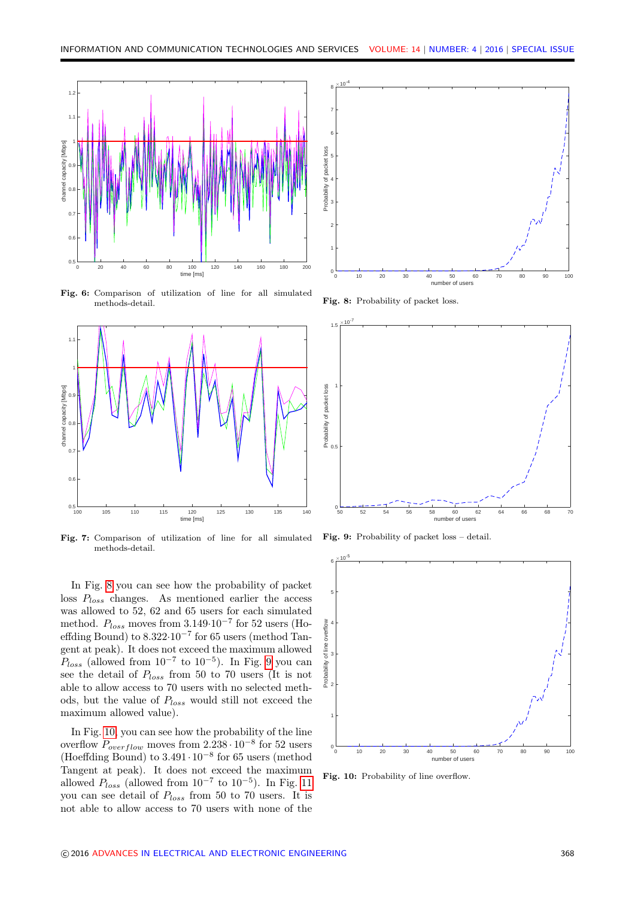<span id="page-4-0"></span>

Fig. 6: Comparison of utilization of line for all simulated methods-detail.

<span id="page-4-1"></span>

Fig. 7: Comparison of utilization of line for all simulated methods-detail.

In Fig. [8](#page-4-2) you can see how the probability of packet loss  $P_{loss}$  changes. As mentioned earlier the access was allowed to 52, 62 and 65 users for each simulated method.  $P_{loss}$  moves from 3.149⋅10<sup>-7</sup> for 52 users (Hoeffding Bound) to  $8.322 \cdot 10^{-7}$  for 65 users (method Tangent at peak). It does not exceed the maximum allowed  $P_{loss}$  (allowed from  $10^{-7}$  to  $10^{-5}$ ). In Fig. [9](#page-4-3) you can see the detail of  $P_{loss}$  from 50 to 70 users (It is not able to allow access to 70 users with no selected methods, but the value of  $P_{loss}$  would still not exceed the maximum allowed value).

In Fig. [10,](#page-4-4) you can see how the probability of the line overflow  $P_{overflow}$  moves from 2.238 $\cdot 10^{-8}$  for 52 users (Hoeffding Bound) to  $3.491 \cdot 10^{-8}$  for 65 users (method Tangent at peak). It does not exceed the maximum allowed  $P_{loss}$  (allowed from  $10^{-7}$  to  $10^{-5}$ ). In Fig. [11](#page-5-0) you can see detail of  $P_{loss}$  from 50 to 70 users. It is not able to allow access to 70 users with none of the

<span id="page-4-2"></span>

Fig. 8: Probability of packet loss

<span id="page-4-3"></span>

Fig. 9: Probability of packet loss – detail.

<span id="page-4-4"></span>

Fig. 10: Probability of line overflow.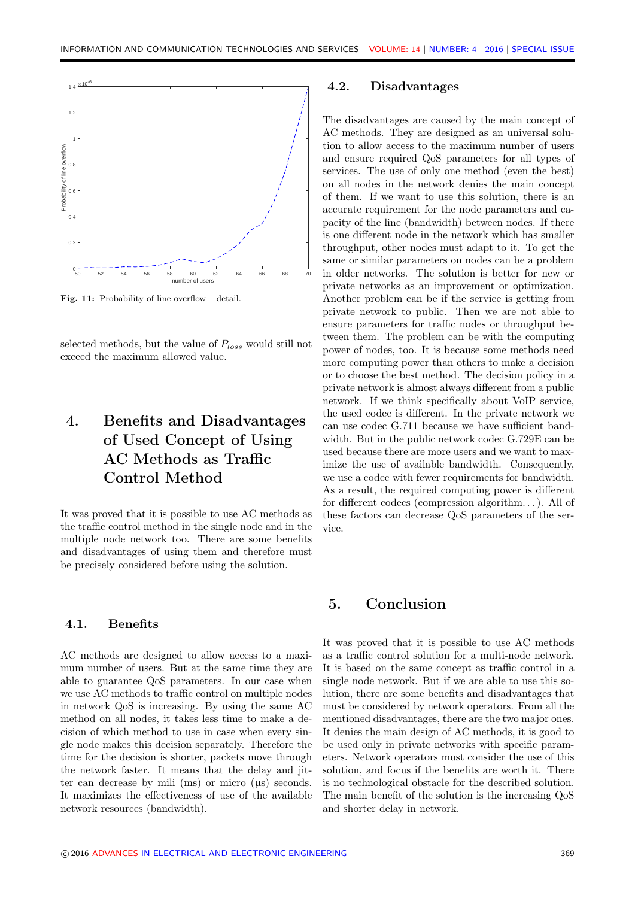<span id="page-5-0"></span>

Fig. 11: Probability of line overflow – detail.

selected methods, but the value of  $P_{loss}$  would still not exceed the maximum allowed value.

# 4. Benefits and Disadvantages of Used Concept of Using AC Methods as Traffic Control Method

It was proved that it is possible to use AC methods as the traffic control method in the single node and in the multiple node network too. There are some benefits and disadvantages of using them and therefore must be precisely considered before using the solution.

#### 4.1. Benefits

AC methods are designed to allow access to a maximum number of users. But at the same time they are able to guarantee QoS parameters. In our case when we use AC methods to traffic control on multiple nodes in network QoS is increasing. By using the same AC method on all nodes, it takes less time to make a decision of which method to use in case when every single node makes this decision separately. Therefore the time for the decision is shorter, packets move through the network faster. It means that the delay and jitter can decrease by mili (ms) or micro  $(\mu s)$  seconds. It maximizes the effectiveness of use of the available network resources (bandwidth).

#### 4.2. Disadvantages

The disadvantages are caused by the main concept of AC methods. They are designed as an universal solution to allow access to the maximum number of users and ensure required QoS parameters for all types of services. The use of only one method (even the best) on all nodes in the network denies the main concept of them. If we want to use this solution, there is an accurate requirement for the node parameters and capacity of the line (bandwidth) between nodes. If there is one different node in the network which has smaller throughput, other nodes must adapt to it. To get the same or similar parameters on nodes can be a problem in older networks. The solution is better for new or private networks as an improvement or optimization. Another problem can be if the service is getting from private network to public. Then we are not able to ensure parameters for traffic nodes or throughput between them. The problem can be with the computing power of nodes, too. It is because some methods need more computing power than others to make a decision or to choose the best method. The decision policy in a private network is almost always different from a public network. If we think specifically about VoIP service, the used codec is different. In the private network we can use codec G.711 because we have sufficient bandwidth. But in the public network codec G.729E can be used because there are more users and we want to maximize the use of available bandwidth. Consequently, we use a codec with fewer requirements for bandwidth. As a result, the required computing power is different for different codecs (compression algorithm. . . ). All of these factors can decrease QoS parameters of the service.

## 5. Conclusion

It was proved that it is possible to use AC methods as a traffic control solution for a multi-node network. It is based on the same concept as traffic control in a single node network. But if we are able to use this solution, there are some benefits and disadvantages that must be considered by network operators. From all the mentioned disadvantages, there are the two major ones. It denies the main design of AC methods, it is good to be used only in private networks with specific parameters. Network operators must consider the use of this solution, and focus if the benefits are worth it. There is no technological obstacle for the described solution. The main benefit of the solution is the increasing QoS and shorter delay in network.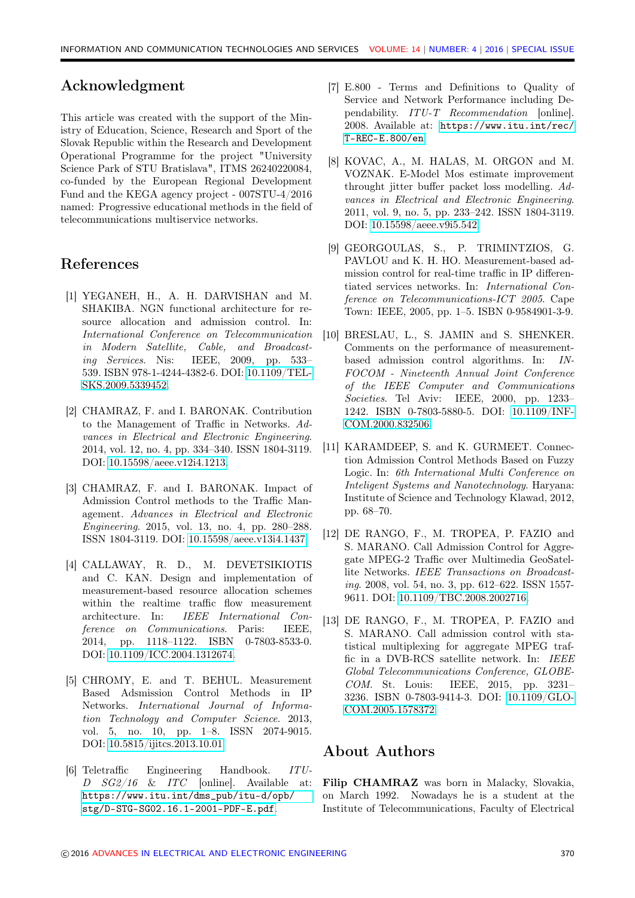## Acknowledgment

This article was created with the support of the Ministry of Education, Science, Research and Sport of the Slovak Republic within the Research and Development Operational Programme for the project "University Science Park of STU Bratislava", ITMS 26240220084, co-funded by the European Regional Development Fund and the KEGA agency project - 007STU-4/2016 named: Progressive educational methods in the field of telecommunications multiservice networks.

## References

- <span id="page-6-0"></span>[1] YEGANEH, H., A. H. DARVISHAN and M. SHAKIBA. NGN functional architecture for resource allocation and admission control. In: International Conference on Telecommunication in Modern Satellite, Cable, and Broadcasting Services. Nis: IEEE, 2009, pp. 533– 539. ISBN 978-1-4244-4382-6. DOI: [10.1109/TEL-](http://dx.doi.org/10.1109/TELSKS.2009.5339452)[SKS.2009.5339452.](http://dx.doi.org/10.1109/TELSKS.2009.5339452)
- <span id="page-6-1"></span>[2] CHAMRAZ, F. and I. BARONAK. Contribution to the Management of Traffic in Networks. Advances in Electrical and Electronic Engineering. 2014, vol. 12, no. 4, pp. 334–340. ISSN 1804-3119. DOI: [10.15598/aeee.v12i4.1213.](http://dx.doi.org/10.15598/aeee.v12i4.1213)
- <span id="page-6-2"></span>[3] CHAMRAZ, F. and I. BARONAK. Impact of Admission Control methods to the Traffic Management. Advances in Electrical and Electronic Engineering. 2015, vol. 13, no. 4, pp. 280–288. ISSN 1804-3119. DOI: [10.15598/aeee.v13i4.1437.](http://dx.doi.org/10.15598/aeee.v13i4.1437)
- <span id="page-6-3"></span>[4] CALLAWAY, R. D., M. DEVETSIKIOTIS and C. KAN. Design and implementation of measurement-based resource allocation schemes within the realtime traffic flow measurement architecture. In: IEEE International Conference on Communications. Paris: IEEE, 2014, pp. 1118–1122. ISBN 0-7803-8533-0. DOI: [10.1109/ICC.2004.1312674.](http://dx.doi.org/10.1109/ICC.2004.1312674)
- <span id="page-6-4"></span>[5] CHROMY, E. and T. BEHUL. Measurement Based Adsmission Control Methods in IP Networks. International Journal of Information Technology and Computer Science. 2013, vol. 5, no. 10, pp. 1–8. ISSN 2074-9015. DOI: [10.5815/ijitcs.2013.10.01.](http://dx.doi.org/10.5815/ijitcs.2013.10.01)
- <span id="page-6-5"></span>[6] Teletraffic Engineering Handbook. ITU-D SG2/16 & ITC [online]. Available at: [https://www.itu.int/dms\\_pub/itu-d/opb/](https://www.itu.int/dms_pub/itu-d/opb/stg/D-STG-SG02.16.1-2001-PDF-E.pdf) [stg/D-STG-SG02.16.1-2001-PDF-E.pdf](https://www.itu.int/dms_pub/itu-d/opb/stg/D-STG-SG02.16.1-2001-PDF-E.pdf).
- <span id="page-6-6"></span>[7] E.800 - Terms and Definitions to Quality of Service and Network Performance including Dependability. ITU-T Recommendation [online]. 2008. Available at: [https://www.itu.int/rec/](https://www.itu.int/rec/T-REC-E.800/en) [T-REC-E.800/en](https://www.itu.int/rec/T-REC-E.800/en).
- [8] KOVAC, A., M. HALAS, M. ORGON and M. VOZNAK. E-Model Mos estimate improvement throught jitter buffer packet loss modelling. Advances in Electrical and Electronic Engineering. 2011, vol. 9, no. 5, pp. 233–242. ISSN 1804-3119. DOI: [10.15598/aeee.v9i5.542.](http://dx.doi.org/10.15598/aeee.v9i5.542)
- <span id="page-6-7"></span>[9] GEORGOULAS, S., P. TRIMINTZIOS, G. PAVLOU and K. H. HO. Measurement-based admission control for real-time traffic in IP differentiated services networks. In: International Conference on Telecommunications-ICT 2005. Cape Town: IEEE, 2005, pp. 1–5. ISBN 0-9584901-3-9.
- <span id="page-6-8"></span>[10] BRESLAU, L., S. JAMIN and S. SHENKER. Comments on the performance of measurementbased admission control algorithms. In: IN-FOCOM - Nineteenth Annual Joint Conference of the IEEE Computer and Communications Societies. Tel Aviv: IEEE, 2000, pp. 1233– 1242. ISBN 0-7803-5880-5. DOI: [10.1109/INF-](http://dx.doi.org/10.1109/INFCOM.2000.832506)[COM.2000.832506.](http://dx.doi.org/10.1109/INFCOM.2000.832506)
- <span id="page-6-9"></span>[11] KARAMDEEP, S. and K. GURMEET. Connection Admission Control Methods Based on Fuzzy Logic. In: 6th International Multi Conference on Inteligent Systems and Nanotechnology. Haryana: Institute of Science and Technology Klawad, 2012, pp. 68–70.
- <span id="page-6-10"></span>[12] DE RANGO, F., M. TROPEA, P. FAZIO and S. MARANO. Call Admission Control for Aggregate MPEG-2 Traffic over Multimedia GeoSatellite Networks. IEEE Transactions on Broadcasting. 2008, vol. 54, no. 3, pp. 612–622. ISSN 1557- 9611. DOI: [10.1109/TBC.2008.2002716.](http://dx.doi.org/10.1109/TBC.2008.2002716)
- [13] DE RANGO, F., M. TROPEA, P. FAZIO and S. MARANO. Call admission control with statistical multiplexing for aggregate MPEG traffic in a DVB-RCS satellite network. In: IEEE Global Telecommunications Conference, GLOBE-COM. St. Louis: IEEE, 2015, pp. 3231– 3236. ISBN 0-7803-9414-3. DOI: [10.1109/GLO-](http://dx.doi.org/10.1109/GLOCOM.2005.1578372)[COM.2005.1578372.](http://dx.doi.org/10.1109/GLOCOM.2005.1578372)

### About Authors

Filip CHAMRAZ was born in Malacky, Slovakia, on March 1992. Nowadays he is a student at the Institute of Telecommunications, Faculty of Electrical